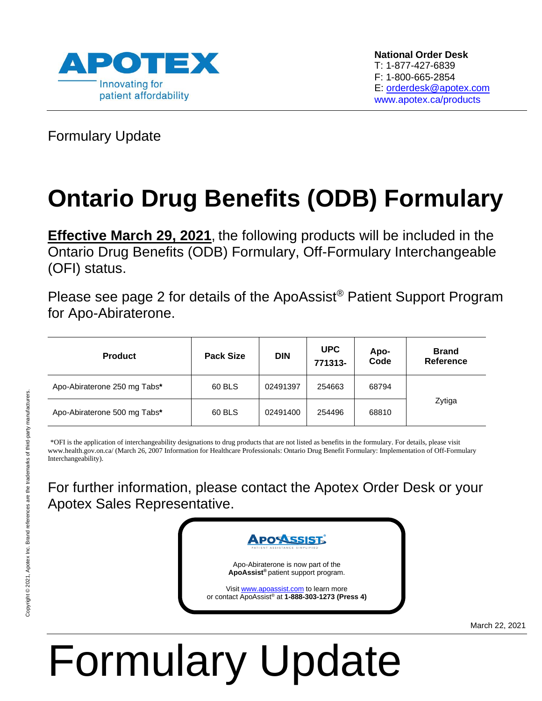

Formulary Update

## **Ontario Drug Benefits (ODB) Formulary**

**Effective March 29, 2021**, the following products will be included in the Ontario Drug Benefits (ODB) Formulary, Off-Formulary Interchangeable (OFI) status.

Please see page 2 for details of the ApoAssist® Patient Support Program for Apo-Abiraterone.

| <b>Product</b>               | <b>Pack Size</b> | <b>DIN</b> | <b>UPC</b><br>771313- | Apo-<br>Code | <b>Brand</b><br>Reference |
|------------------------------|------------------|------------|-----------------------|--------------|---------------------------|
| Apo-Abiraterone 250 mg Tabs* | 60 BLS           | 02491397   | 254663                | 68794        | Zytiga                    |
| Apo-Abiraterone 500 mg Tabs* | 60 BLS           | 02491400   | 254496                | 68810        |                           |

\*OFI is the application of interchangeability designations to drug products that are not listed as benefits in the formulary. For details, please visit www.health.gov.on.ca/ (March 26, 2007 Information for Healthcare Professionals: Ontario Drug Benefit Formulary: Implementation of Off-Formulary Interchangeability).

For further information, please contact the Apotex Order Desk or your Apotex Sales Representative.



March 22, 2021

# Formulary Update